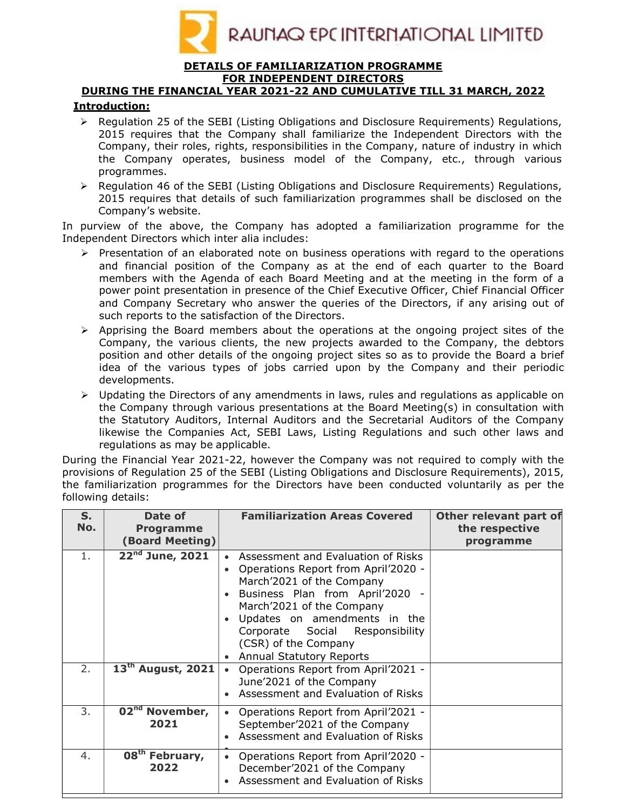

#### DETAILS OF FAMILIARIZATION PROGRAMME FOR INDEPENDENT DIRECTORS

# DURING THE FINANCIAL YEAR 2021-22 AND CUMULATIVE TILL 31 MARCH, 2022

### Introduction:

- $\triangleright$  Regulation 25 of the SEBI (Listing Obligations and Disclosure Reguirements) Regulations, 2015 requires that the Company shall familiarize the Independent Directors with the Company, their roles, rights, responsibilities in the Company, nature of industry in which the Company operates, business model of the Company, etc., through various programmes.
- $\triangleright$  Regulation 46 of the SEBI (Listing Obligations and Disclosure Requirements) Regulations, 2015 requires that details of such familiarization programmes shall be disclosed on the Company's website.

In purview of the above, the Company has adopted a familiarization programme for the Independent Directors which inter alia includes:

- Presentation of an elaborated note on business operations with regard to the operations and financial position of the Company as at the end of each quarter to the Board members with the Agenda of each Board Meeting and at the meeting in the form of a power point presentation in presence of the Chief Executive Officer, Chief Financial Officer and Company Secretary who answer the queries of the Directors, if any arising out of such reports to the satisfaction of the Directors.
- $\triangleright$  Apprising the Board members about the operations at the ongoing project sites of the Company, the various clients, the new projects awarded to the Company, the debtors position and other details of the ongoing project sites so as to provide the Board a brief idea of the various types of jobs carried upon by the Company and their periodic developments.
- $\triangleright$  Updating the Directors of any amendments in laws, rules and regulations as applicable on the Company through various presentations at the Board Meeting(s) in consultation with the Statutory Auditors, Internal Auditors and the Secretarial Auditors of the Company likewise the Companies Act, SEBI Laws, Listing Regulations and such other laws and regulations as may be applicable.

During the Financial Year 2021-22, however the Company was not required to comply with the provisions of Regulation 25 of the SEBI (Listing Obligations and Disclosure Requirements), 2015, the familiarization programmes for the Directors have been conducted voluntarily as per the following details:

| $S_{1}$<br>No. | Date of<br><b>Programme</b><br><b>(Board Meeting)</b> | <b>Familiarization Areas Covered</b>                                                                                                                                                                                                                                                                                                              | Other relevant part of<br>the respective<br>programme |
|----------------|-------------------------------------------------------|---------------------------------------------------------------------------------------------------------------------------------------------------------------------------------------------------------------------------------------------------------------------------------------------------------------------------------------------------|-------------------------------------------------------|
| 1.             | $22^{nd}$ June, 2021                                  | Assessment and Evaluation of Risks<br>$\bullet$<br>Operations Report from April'2020 -<br>$\bullet$<br>March'2021 of the Company<br>Business Plan from April'2020 -<br>$\bullet$<br>March'2021 of the Company<br>Updates on amendments in the<br>$\bullet$<br>Corporate Social Responsibility<br>(CSR) of the Company<br>Annual Statutory Reports |                                                       |
| 2.             | $13th$ August, 2021                                   | Operations Report from April'2021 -<br>$\bullet$<br>June'2021 of the Company<br>Assessment and Evaluation of Risks                                                                                                                                                                                                                                |                                                       |
| 3.             | 02 <sup>nd</sup> November,<br>2021                    | Operations Report from April'2021 -<br>$\bullet$<br>September'2021 of the Company<br>Assessment and Evaluation of Risks                                                                                                                                                                                                                           |                                                       |
| 4.             | 08 <sup>th</sup> February,<br>2022                    | Operations Report from April'2020 -<br>$\bullet$<br>December'2021 of the Company<br>Assessment and Evaluation of Risks                                                                                                                                                                                                                            |                                                       |